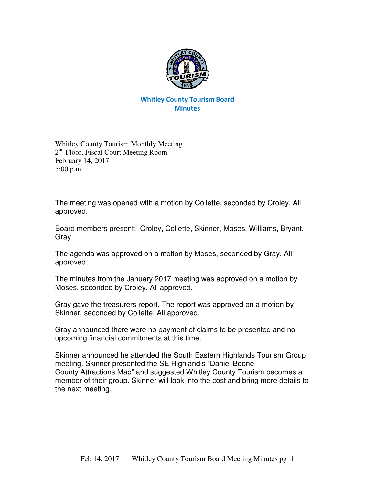

## Whitley County Tourism Board **Minutes**

Whitley County Tourism Monthly Meeting 2<sup>nd</sup> Floor, Fiscal Court Meeting Room February 14, 2017 5:00 p.m.

The meeting was opened with a motion by Collette, seconded by Croley. All approved.

Board members present: Croley, Collette, Skinner, Moses, Williams, Bryant, Gray

The agenda was approved on a motion by Moses, seconded by Gray. All approved.

The minutes from the January 2017 meeting was approved on a motion by Moses, seconded by Croley. All approved.

Gray gave the treasurers report. The report was approved on a motion by Skinner, seconded by Collette. All approved.

Gray announced there were no payment of claims to be presented and no upcoming financial commitments at this time.

Skinner announced he attended the South Eastern Highlands Tourism Group meeting. Skinner presented the SE Highland's "Daniel Boone County Attractions Map" and suggested Whitley County Tourism becomes a member of their group. Skinner will look into the cost and bring more details to the next meeting.